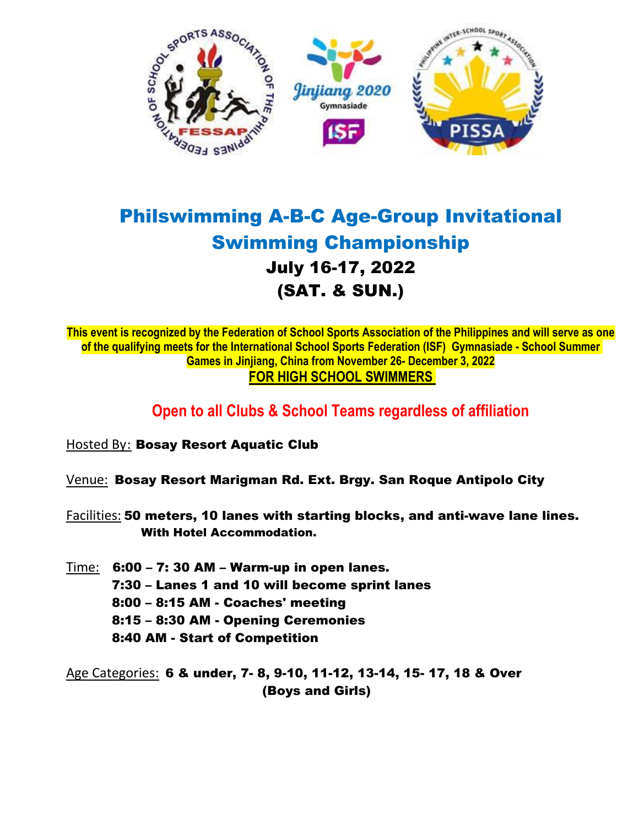

# Philswimming A-B-C Age-Group Invitational Swimming Championship July 16-17, 2022 (SAT. & SUN.)

**This event is recognized by the Federation of School Sports Association of the Philippines and will serve as one of the qualifying meets for the International School Sports Federation (ISF) Gymnasiade - School Summer Games in Jinjiang, China from November 26- December 3, 2022 FOR HIGH SCHOOL SWIMMERS** 

# **Open to all Clubs & School Teams regardless of affiliation**

- Hosted By: Bosay Resort Aquatic Club
- Venue: Bosay Resort Marigman Rd. Ext. Brgy. San Roque Antipolo City
- Facilities: 50 meters, 10 lanes with starting blocks, and anti-wave lane lines. With Hotel Accommodation.
- Time: 6:00 7: 30 AM Warm-up in open lanes. 7:30 – Lanes 1 and 10 will become sprint lanes 8:00 – 8:15 AM - Coaches' meeting 8:15 – 8:30 AM - Opening Ceremonies 8:40 AM - Start of Competition

Age Categories: 6 & under, 7- 8, 9-10, 11-12, 13-14, 15- 17, 18 & Over (Boys and Girls)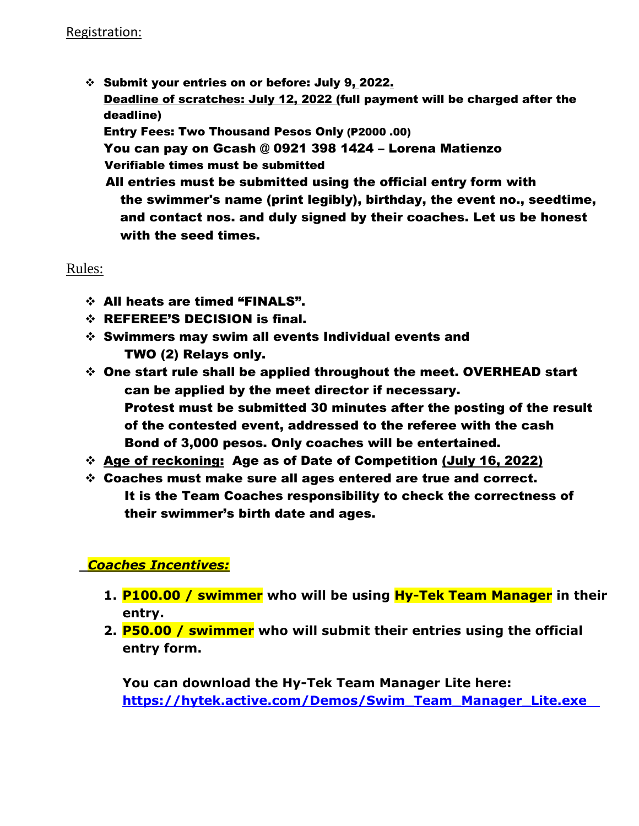Submit your entries on or before: July 9, 2022. Deadline of scratches: July 12, 2022 (full payment will be charged after the deadline) Entry Fees: Two Thousand Pesos Only (P2000 .00) You can pay on Gcash @ 0921 398 1424 – Lorena Matienzo Verifiable times must be submitted All entries must be submitted using the official entry form with the swimmer's name (print legibly), birthday, the event no., seedtime, and contact nos. and duly signed by their coaches. Let us be honest with the seed times.

Rules:

- All heats are timed "FINALS".
- REFEREE'S DECISION is final.
- $\div$  Swimmers may swim all events Individual events and TWO (2) Relays only.
- One start rule shall be applied throughout the meet. OVERHEAD start can be applied by the meet director if necessary. Protest must be submitted 30 minutes after the posting of the result of the contested event, addressed to the referee with the cash Bond of 3,000 pesos. Only coaches will be entertained.
- Age of reckoning: Age as of Date of Competition (July 16, 2022)
- Coaches must make sure all ages entered are true and correct. It is the Team Coaches responsibility to check the correctness of their swimmer's birth date and ages.

### *Coaches Incentives:*

- **1. P100.00 / swimmer who will be using Hy-Tek Team Manager in their entry.**
- **2. P50.00 / swimmer who will submit their entries using the official entry form.**

**You can download the Hy-Tek Team Manager Lite here: [https://hytek.active.com/Demos/Swim\\_Team\\_Manager\\_Lite.exe](https://hytek.active.com/Demos/Swim_Team_Manager_Lite.exe)**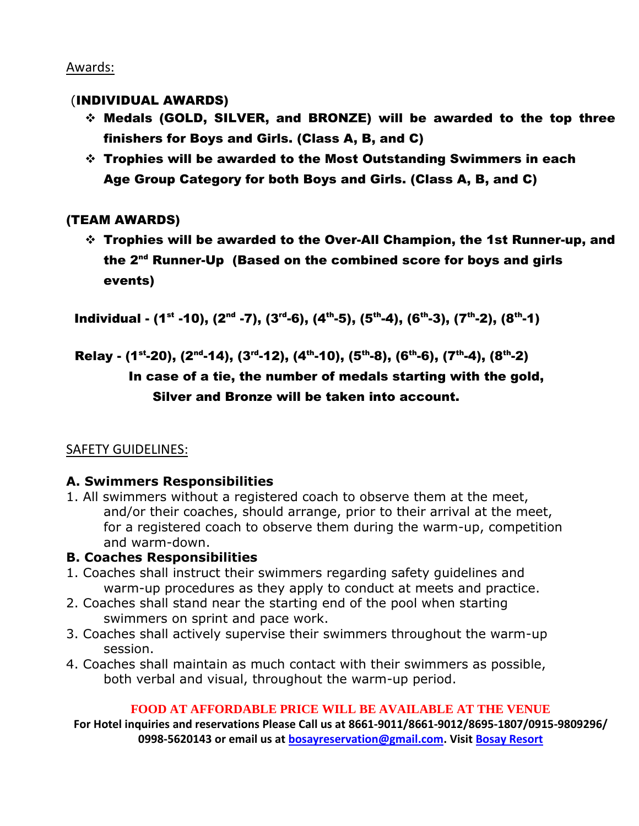#### Awards:

#### (INDIVIDUAL AWARDS)

- Medals (GOLD, SILVER, and BRONZE) will be awarded to the top three finishers for Boys and Girls. (Class A, B, and C)
- Trophies will be awarded to the Most Outstanding Swimmers in each Age Group Category for both Boys and Girls. (Class A, B, and C)

### (TEAM AWARDS)

 Trophies will be awarded to the Over-All Champion, the 1st Runner-up, and the 2nd Runner-Up (Based on the combined score for boys and girls events)

Individual - (1<sup>st</sup> -10), (2<sup>nd</sup> -7), (3<sup>rd</sup>-6), (4<sup>th</sup>-5), (5<sup>th</sup>-4), (6<sup>th</sup>-3), (7<sup>th</sup>-2), (8<sup>th</sup>-1)

Relay - (1<sup>st</sup>-20), (2<sup>nd</sup>-14), (3<sup>rd</sup>-12), (4<sup>th</sup>-10), (5<sup>th</sup>-8), (6<sup>th</sup>-6), (7<sup>th</sup>-4), (8<sup>th</sup>-2)

## In case of a tie, the number of medals starting with the gold, Silver and Bronze will be taken into account.

### SAFETY GUIDELINES:

### **A. Swimmers Responsibilities**

1. All swimmers without a registered coach to observe them at the meet, and/or their coaches, should arrange, prior to their arrival at the meet, for a registered coach to observe them during the warm-up, competition and warm-down.

### **B. Coaches Responsibilities**

- 1. Coaches shall instruct their swimmers regarding safety guidelines and warm-up procedures as they apply to conduct at meets and practice.
- 2. Coaches shall stand near the starting end of the pool when starting swimmers on sprint and pace work.
- 3. Coaches shall actively supervise their swimmers throughout the warm-up session.
- 4. Coaches shall maintain as much contact with their swimmers as possible, both verbal and visual, throughout the warm-up period.

#### **FOOD AT AFFORDABLE PRICE WILL BE AVAILABLE AT THE VENUE**

**For Hotel inquiries and reservations Please Call us at 8661-9011/8661-9012/8695-1807/0915-9809296/ 0998-5620143 or email us at [bosayreservation@gmail.com.](mailto:bosayreservation@gmail.com) Visi[t Bosay Resort](http://bosayresort.com/home/)**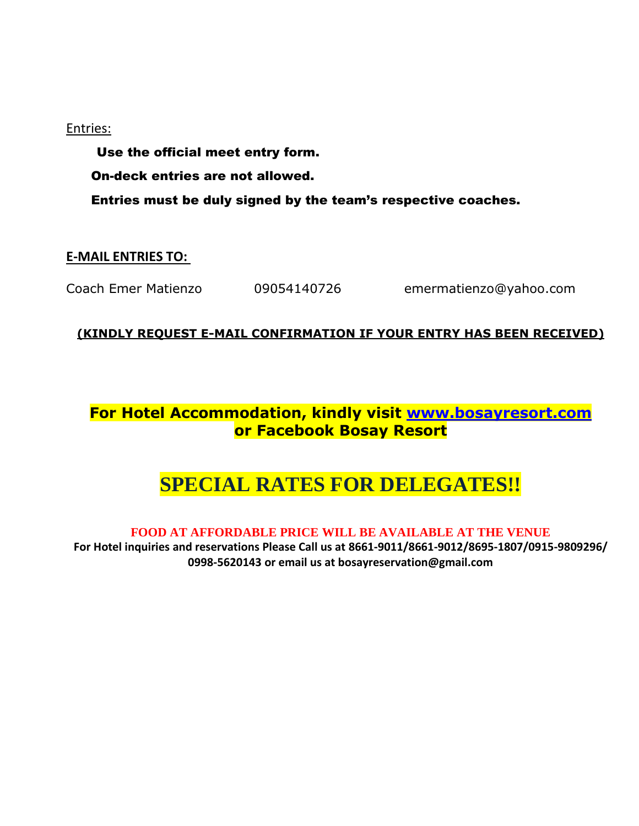#### Entries:

 Use the official meet entry form. On-deck entries are not allowed. Entries must be duly signed by the team's respective coaches.

#### **E-MAIL ENTRIES TO:**

Coach Emer Matienzo 09054140726 emermatienzo@yahoo.com

#### **(KINDLY REQUEST E-MAIL CONFIRMATION IF YOUR ENTRY HAS BEEN RECEIVED)**

## **For Hotel Accommodation, kindly visit [www.bosayresort.com](http://www.bosayresort.com/) or Facebook Bosay Resort**

# **SPECIAL RATES FOR DELEGATES!!**

#### **FOOD AT AFFORDABLE PRICE WILL BE AVAILABLE AT THE VENUE**

**For Hotel inquiries and reservations Please Call us at 8661-9011/8661-9012/8695-1807/0915-9809296/ 0998-5620143 or email us at bosayreservation@gmail.com**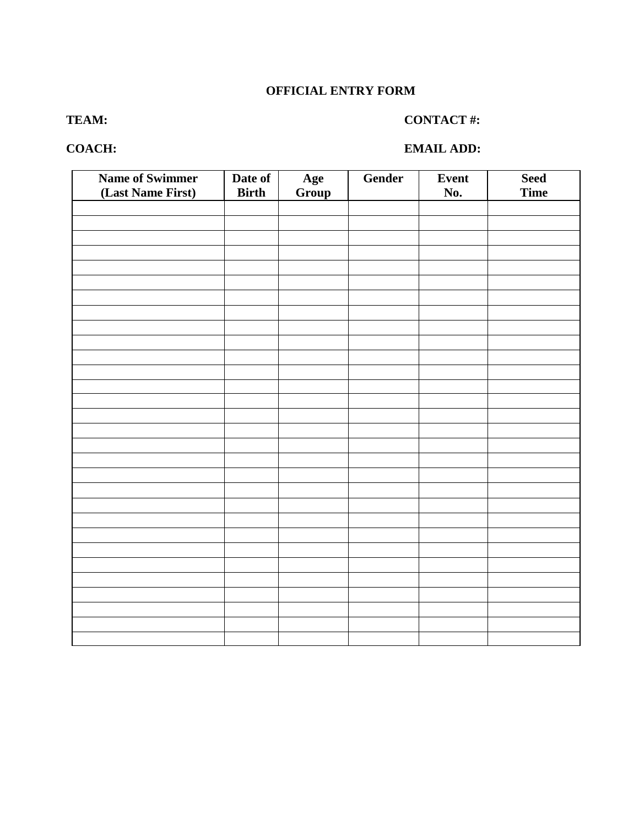#### **OFFICIAL ENTRY FORM**

#### **TEAM: CONTACT #:**

#### **COACH: EMAIL ADD:**

| <b>Name of Swimmer</b> | Date of      | Age   | Gender | Event | <b>Seed</b> |
|------------------------|--------------|-------|--------|-------|-------------|
| (Last Name First)      | <b>Birth</b> | Group |        | No.   | <b>Time</b> |
|                        |              |       |        |       |             |
|                        |              |       |        |       |             |
|                        |              |       |        |       |             |
|                        |              |       |        |       |             |
|                        |              |       |        |       |             |
|                        |              |       |        |       |             |
|                        |              |       |        |       |             |
|                        |              |       |        |       |             |
|                        |              |       |        |       |             |
|                        |              |       |        |       |             |
|                        |              |       |        |       |             |
|                        |              |       |        |       |             |
|                        |              |       |        |       |             |
|                        |              |       |        |       |             |
|                        |              |       |        |       |             |
|                        |              |       |        |       |             |
|                        |              |       |        |       |             |
|                        |              |       |        |       |             |
|                        |              |       |        |       |             |
|                        |              |       |        |       |             |
|                        |              |       |        |       |             |
|                        |              |       |        |       |             |
|                        |              |       |        |       |             |
|                        |              |       |        |       |             |
|                        |              |       |        |       |             |
|                        |              |       |        |       |             |
|                        |              |       |        |       |             |
|                        |              |       |        |       |             |
|                        |              |       |        |       |             |
|                        |              |       |        |       |             |